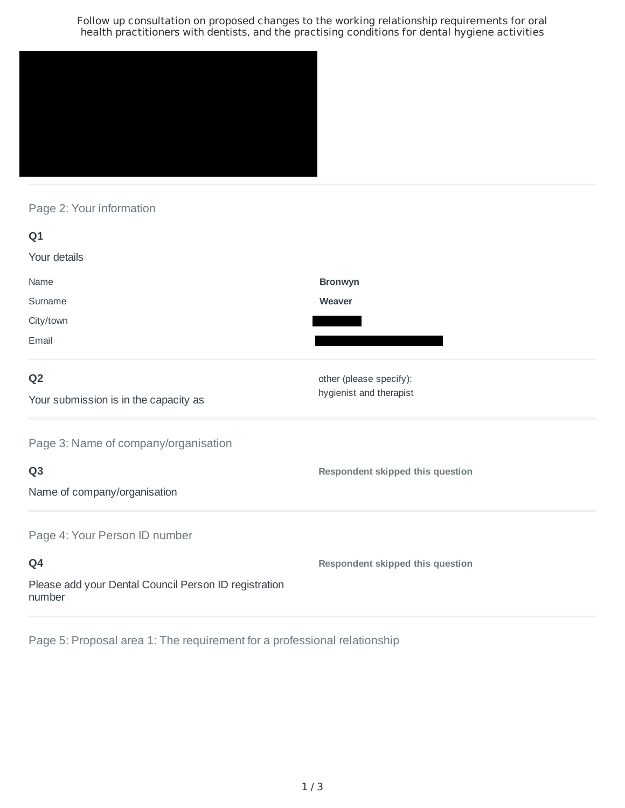Follow up consultation on proposed changes to the working relationship requirements for oral health practitioners with dentists, and the practising conditions for dental hygiene activities



Page 2: Your information

| Q1                                                              |                                         |
|-----------------------------------------------------------------|-----------------------------------------|
| Your details                                                    |                                         |
| Name                                                            | <b>Bronwyn</b>                          |
| Surname                                                         | Weaver                                  |
| City/town                                                       |                                         |
| Email                                                           |                                         |
| Q <sub>2</sub>                                                  | other (please specify):                 |
| Your submission is in the capacity as                           | hygienist and therapist                 |
| Page 3: Name of company/organisation                            |                                         |
| Q <sub>3</sub>                                                  | Respondent skipped this question        |
| Name of company/organisation                                    |                                         |
| Page 4: Your Person ID number                                   |                                         |
| Q4                                                              | <b>Respondent skipped this question</b> |
| Please add your Dental Council Person ID registration<br>number |                                         |

Page 5: Proposal area 1: The requirement for a professional relationship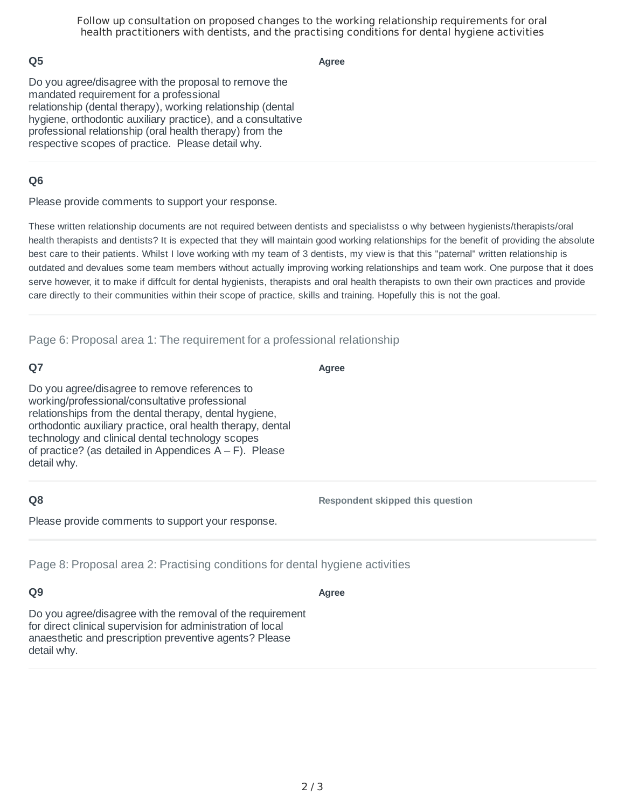Follow up consultation on proposed changes to the working relationship requirements for oral health practitioners with dentists, and the practising conditions for dental hygiene activities

## **Q5**

**Agree**

Do you agree/disagree with the proposal to remove the mandated requirement for a professional relationship (dental therapy), working relationship (dental hygiene, orthodontic auxiliary practice), and a consultative professional relationship (oral health therapy) from the respective scopes of practice. Please detail why.

## **Q6**

Please provide comments to support your response.

These written relationship documents are not required between dentists and specialistss o why between hygienists/therapists/oral health therapists and dentists? It is expected that they will maintain good working relationships for the benefit of providing the absolute best care to their patients. Whilst I love working with my team of 3 dentists, my view is that this "paternal" written relationship is outdated and devalues some team members without actually improving working relationships and team work. One purpose that it does serve however, it to make if diffcult for dental hygienists, therapists and oral health therapists to own their own practices and provide care directly to their communities within their scope of practice, skills and training. Hopefully this is not the goal.

#### Page 6: Proposal area 1: The requirement for a professional relationship

## **Q7**

**Agree**

Do you agree/disagree to remove references to working/professional/consultative professional relationships from the dental therapy, dental hygiene, orthodontic auxiliary practice, oral health therapy, dental technology and clinical dental technology scopes of practice? (as detailed in Appendices  $A - F$ ). Please detail why.

## **Q8**

**Respondent skipped this question**

Please provide comments to support your response.

Page 8: Proposal area 2: Practising conditions for dental hygiene activities

#### **Q9**

**Agree**

Do you agree/disagree with the removal of the requirement for direct clinical supervision for administration of local anaesthetic and prescription preventive agents? Please detail why.